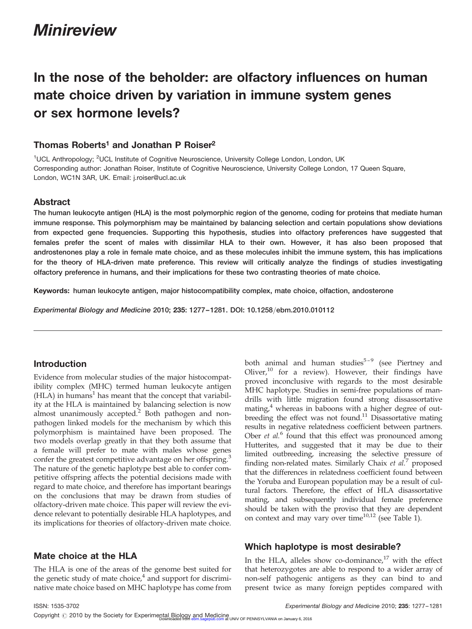# **Minireview**

# In the nose of the beholder: are olfactory influences on human mate choice driven by variation in immune system genes or sex hormone levels?

## Thomas Roberts<sup>1</sup> and Jonathan P Roiser<sup>2</sup>

<sup>1</sup>UCL Anthropology; <sup>2</sup>UCL Institute of Cognitive Neuroscience, University College London, London, UK Corresponding author: Jonathan Roiser, Institute of Cognitive Neuroscience, University College London, 17 Queen Square, London, WC1N 3AR, UK. Email: j.roiser@ucl.ac.uk

### Abstract

The human leukocyte antigen (HLA) is the most polymorphic region of the genome, coding for proteins that mediate human immune response. This polymorphism may be maintained by balancing selection and certain populations show deviations from expected gene frequencies. Supporting this hypothesis, studies into olfactory preferences have suggested that females prefer the scent of males with dissimilar HLA to their own. However, it has also been proposed that androstenones play a role in female mate choice, and as these molecules inhibit the immune system, this has implications for the theory of HLA-driven mate preference. This review will critically analyze the findings of studies investigating olfactory preference in humans, and their implications for these two contrasting theories of mate choice.

Keywords: human leukocyte antigen, major histocompatibility complex, mate choice, olfaction, andosterone

Experimental Biology and Medicine 2010; 235: 1277–1281. DOI: 10.1258/ebm.2010.010112

## Introduction

Evidence from molecular studies of the major histocompatibility complex (MHC) termed human leukocyte antigen  $(HLA)$  in humans<sup>1</sup> has meant that the concept that variability at the HLA is maintained by balancing selection is now almost unanimously accepted.<sup>2</sup> Both pathogen and nonpathogen linked models for the mechanism by which this polymorphism is maintained have been proposed. The two models overlap greatly in that they both assume that a female will prefer to mate with males whose genes confer the greatest competitive advantage on her offspring.<sup>3</sup> The nature of the genetic haplotype best able to confer competitive offspring affects the potential decisions made with regard to mate choice, and therefore has important bearings on the conclusions that may be drawn from studies of olfactory-driven mate choice. This paper will review the evidence relevant to potentially desirable HLA haplotypes, and its implications for theories of olfactory-driven mate choice.

## Mate choice at the HLA

The HLA is one of the areas of the genome best suited for the genetic study of mate choice, $4$  and support for discriminative mate choice based on MHC haplotype has come from

both animal and human studies<sup>5-9</sup> (see Piertney and Oliver, $10$  for a review). However, their findings have proved inconclusive with regards to the most desirable MHC haplotype. Studies in semi-free populations of mandrills with little migration found strong dissassortative mating, $4$  whereas in baboons with a higher degree of outbreeding the effect was not found.<sup>11</sup> Disassortative mating results in negative relatedness coefficient between partners. Ober *et al.*<sup>6</sup> found that this effect was pronounced among Hutterites, and suggested that it may be due to their limited outbreeding, increasing the selective pressure of finding non-related mates. Similarly Chaix  $et al.<sup>7</sup>$  proposed that the differences in relatedness coefficient found between the Yoruba and European population may be a result of cultural factors. Therefore, the effect of HLA disassortative mating, and subsequently individual female preference should be taken with the proviso that they are dependent on context and may vary over time<sup>10,12</sup> (see Table 1).

## Which haplotype is most desirable?

In the HLA, alleles show co-dominance, $17$  with the effect that heterozygotes are able to respond to a wider array of non-self pathogenic antigens as they can bind to and present twice as many foreign peptides compared with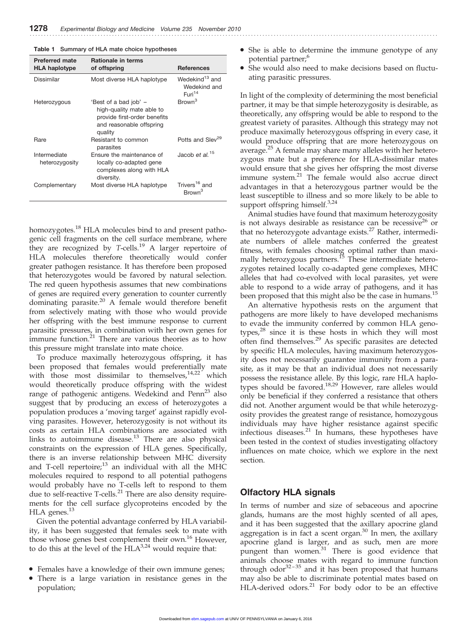|  |  |  | Table 1 Summary of HLA mate choice hypotheses |  |
|--|--|--|-----------------------------------------------|--|
|--|--|--|-----------------------------------------------|--|

| <b>Preferred mate</b><br><b>HLA haplotype</b> | <b>Rationale in terms</b><br>of offspring                                                                                 | <b>References</b>                                     |
|-----------------------------------------------|---------------------------------------------------------------------------------------------------------------------------|-------------------------------------------------------|
| Dissimilar                                    | Most diverse HLA haplotype                                                                                                | Wedekind <sup>13</sup> and<br>Wedekind and<br>$F_{1}$ |
| Heterozygous                                  | 'Best of a bad job' –<br>high-quality mate able to<br>provide first-order benefits<br>and reasonable offspring<br>quality | Brown <sup>3</sup>                                    |
| Rare                                          | Resistant to common<br>parasites                                                                                          | Potts and Slev <sup>29</sup>                          |
| Intermediate<br>heterozygosity                | Ensure the maintenance of<br>locally co-adapted gene<br>complexes along with HLA<br>diversity.                            | Jacob et al. <sup>15</sup>                            |
| Complementary                                 | Most diverse HLA haplotype                                                                                                | Trivers <sup>16</sup> and<br>Brown <sup>3</sup>       |

homozygotes.<sup>18</sup> HLA molecules bind to and present pathogenic cell fragments on the cell surface membrane, where they are recognized by T-cells.<sup>19</sup> A larger repertoire of HLA molecules therefore theoretically would confer greater pathogen resistance. It has therefore been proposed that heterozygotes would be favored by natural selection. The red queen hypothesis assumes that new combinations of genes are required every generation to counter currently dominating parasite.<sup>20</sup> A female would therefore benefit from selectively mating with those who would provide her offspring with the best immune response to current parasitic pressures, in combination with her own genes for immune function.<sup>21</sup> There are various theories as to how this pressure might translate into mate choice.

To produce maximally heterozygous offspring, it has been proposed that females would preferentially mate with those most dissimilar to themselves,  $14,22$  which would theoretically produce offspring with the widest range of pathogenic antigens. Wedekind and Penn<sup>23</sup> also suggest that by producing an excess of heterozygotes a population produces a 'moving target' against rapidly evolving parasites. However, heterozygosity is not without its costs as certain HLA combinations are associated with links to autoimmune disease. $13$  There are also physical constraints on the expression of HLA genes. Specifically, there is an inverse relationship between MHC diversity and T-cell repertoire; $13$  an individual with all the MHC molecules required to respond to all potential pathogens would probably have no T-cells left to respond to them due to self-reactive T-cells.<sup>21</sup> There are also density requirements for the cell surface glycoproteins encoded by the HLA genes.<sup>13</sup>

Given the potential advantage conferred by HLA variability, it has been suggested that females seek to mate with those whose genes best complement their own.<sup>16</sup> However, to do this at the level of the  $HLA^{3,24}$  would require that:

- Females have a knowledge of their own immune genes;
- † There is a large variation in resistance genes in the population;
- She is able to determine the immune genotype of any potential partner;<sup>6</sup>
- She would also need to make decisions based on fluctuating parasitic pressures.

In light of the complexity of determining the most beneficial partner, it may be that simple heterozygosity is desirable, as theoretically, any offspring would be able to respond to the greatest variety of parasites. Although this strategy may not produce maximally heterozygous offspring in every case, it would produce offspring that are more heterozygous on average.<sup>25</sup> A female may share many alleles with her heterozygous mate but a preference for HLA-dissimilar mates would ensure that she gives her offspring the most diverse immune system.<sup>21</sup> The female would also accrue direct advantages in that a heterozygous partner would be the least susceptible to illness and so more likely to be able to support offspring himself.<sup>3,24</sup>

Animal studies have found that maximum heterozygosity is not always desirable as resistance can be recessive<sup>26</sup> or that no heterozygote advantage exists. $27$  Rather, intermediate numbers of allele matches conferred the greatest fitness, with females choosing optimal rather than maximally heterozygous partners.<sup>15</sup> These intermediate heterozygotes retained locally co-adapted gene complexes, MHC alleles that had co-evolved with local parasites, yet were able to respond to a wide array of pathogens, and it has been proposed that this might also be the case in humans.<sup>15</sup>

An alternative hypothesis rests on the argument that pathogens are more likely to have developed mechanisms to evade the immunity conferred by common HLA genotypes, $28$  since it is these hosts in which they will most often find themselves. $29$  As specific parasites are detected by specific HLA molecules, having maximum heterozygosity does not necessarily guarantee immunity from a parasite, as it may be that an individual does not necessarily possess the resistance allele. By this logic, rare HLA haplotypes should be favored.<sup>18,29</sup> However, rare alleles would only be beneficial if they conferred a resistance that others did not. Another argument would be that while heterozygosity provides the greatest range of resistance, homozygous individuals may have higher resistance against specific infectious diseases.<sup>21</sup> In humans, these hypotheses have been tested in the context of studies investigating olfactory influences on mate choice, which we explore in the next section.

### Olfactory HLA signals

In terms of number and size of sebaceous and apocrine glands, humans are the most highly scented of all apes, and it has been suggested that the axillary apocrine gland aggregation is in fact a scent organ. $30$  In men, the axillary apocrine gland is larger, and as such, men are more pungent than women.<sup>31</sup> There is good evidence that animals choose mates with regard to immune function through odor $32-35$  and it has been proposed that humans may also be able to discriminate potential mates based on HLA-derived odors.<sup>21</sup> For body odor to be an effective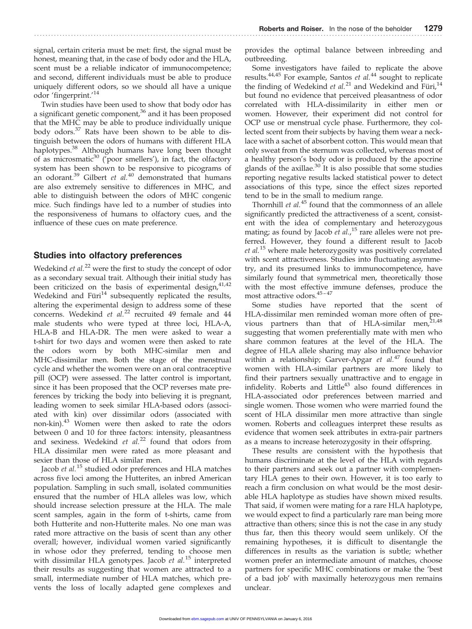signal, certain criteria must be met: first, the signal must be honest, meaning that, in the case of body odor and the HLA, scent must be a reliable indicator of immunocompetence; and second, different individuals must be able to produce uniquely different odors, so we should all have a unique odor 'fingerprint.'14

Twin studies have been used to show that body odor has a significant genetic component, $36$  and it has been proposed that the MHC may be able to produce individually unique body odors.<sup>37</sup> Rats have been shown to be able to distinguish between the odors of humans with different HLA haplotypes.<sup>38</sup> Although humans have long been thought of as microsmatic $30$  ('poor smellers'), in fact, the olfactory system has been shown to be responsive to picograms of an odorant. $39$  Gilbert et al. $40$  demonstrated that humans are also extremely sensitive to differences in MHC, and able to distinguish between the odors of MHC congenic mice. Such findings have led to a number of studies into the responsiveness of humans to olfactory cues, and the influence of these cues on mate preference.

### Studies into olfactory preferences

Wedekind  $et$   $al.^{22}$  were the first to study the concept of odor as a secondary sexual trait. Although their initial study has been criticized on the basis of experimental design, $41.42$ Wedekind and  $Füri<sup>14</sup>$  subsequently replicated the results, altering the experimental design to address some of these concerns. Wedekind et  $al.^{22}$  recruited 49 female and 44 male students who were typed at three loci, HLA-A, HLA-B and HLA-DR. The men were asked to wear a t-shirt for two days and women were then asked to rate the odors worn by both MHC-similar men and MHC-dissimilar men. Both the stage of the menstrual cycle and whether the women were on an oral contraceptive pill (OCP) were assessed. The latter control is important, since it has been proposed that the OCP reverses mate preferences by tricking the body into believing it is pregnant, leading women to seek similar HLA-based odors (associated with kin) over dissimilar odors (associated with non-kin).<sup>43</sup> Women were then asked to rate the odors between 0 and 10 for three factors: intensity, pleasantness and sexiness. Wedekind  $et$   $al.^{22}$  found that odors from HLA dissimilar men were rated as more pleasant and sexier than those of HLA similar men.

Jacob et  $al$ <sup>15</sup> studied odor preferences and HLA matches across five loci among the Hutterites, an inbred American population. Sampling in such small, isolated communities ensured that the number of HLA alleles was low, which should increase selection pressure at the HLA. The male scent samples, again in the form of t-shirts, came from both Hutterite and non-Hutterite males. No one man was rated more attractive on the basis of scent than any other overall; however, individual women varied significantly in whose odor they preferred, tending to choose men with dissimilar HLA genotypes. Jacob et  $al.^{15}$  interpreted their results as suggesting that women are attracted to a small, intermediate number of HLA matches, which prevents the loss of locally adapted gene complexes and

provides the optimal balance between inbreeding and outbreeding.

Some investigators have failed to replicate the above results.<sup>44,45</sup> For example, Santos *et al.*<sup>44</sup> sought to replicate the finding of Wedekind et al.<sup>21</sup> and Wedekind and Füri,<sup>14</sup> but found no evidence that perceived pleasantness of odor correlated with HLA-dissimilarity in either men or women. However, their experiment did not control for OCP use or menstrual cycle phase. Furthermore, they collected scent from their subjects by having them wear a necklace with a sachet of absorbent cotton. This would mean that only sweat from the sternum was collected, whereas most of a healthy person's body odor is produced by the apocrine glands of the axillae. $30$  It is also possible that some studies reporting negative results lacked statistical power to detect associations of this type, since the effect sizes reported tend to be in the small to medium range.

Thornhill  $et$   $al$ .<sup>45</sup> found that the commonness of an allele significantly predicted the attractiveness of a scent, consistent with the idea of complementary and heterozygous mating; as found by Jacob et al.,<sup>15</sup> rare alleles were not preferred. However, they found a different result to Jacob et al.<sup>15</sup> where male heterozygosity was positively correlated with scent attractiveness. Studies into fluctuating asymmetry, and its presumed links to immunocompetence, have similarly found that symmetrical men, theoretically those with the most effective immune defenses, produce the most attractive odors.<sup>45-47</sup>

Some studies have reported that the scent of HLA-dissimilar men reminded woman more often of previous partners than that of HLA-similar men,<sup>21,48</sup> suggesting that women preferentially mate with men who share common features at the level of the HLA. The degree of HLA allele sharing may also influence behavior within a relationship; Garver-Apgar et  $al.^{47}$  found that women with HLA-similar partners are more likely to find their partners sexually unattractive and to engage in infidelity. Roberts and Little $43$  also found differences in HLA-associated odor preferences between married and single women. Those women who were married found the scent of HLA dissimilar men more attractive than single women. Roberts and colleagues interpret these results as evidence that women seek attributes in extra-pair partners as a means to increase heterozygosity in their offspring.

These results are consistent with the hypothesis that humans discriminate at the level of the HLA with regards to their partners and seek out a partner with complementary HLA genes to their own. However, it is too early to reach a firm conclusion on what would be the most desirable HLA haplotype as studies have shown mixed results. That said, if women were mating for a rare HLA haplotype, we would expect to find a particularly rare man being more attractive than others; since this is not the case in any study thus far, then this theory would seem unlikely. Of the remaining hypotheses, it is difficult to disentangle the differences in results as the variation is subtle; whether women prefer an intermediate amount of matches, choose partners for specific MHC combinations or make the 'best of a bad job' with maximally heterozygous men remains unclear.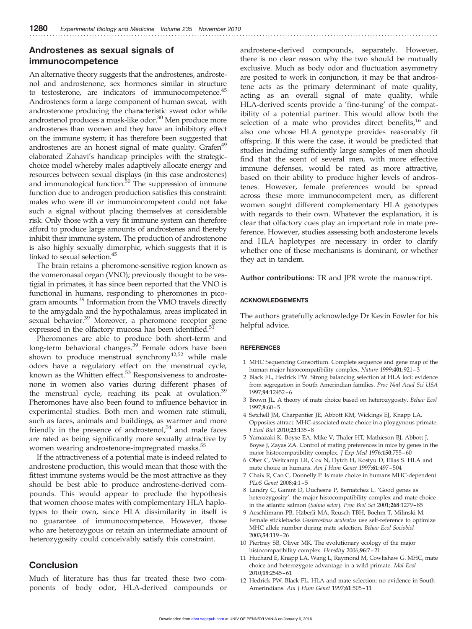## Androstenes as sexual signals of immunocompetence

An alternative theory suggests that the androstenes, androstenol and androstenone, sex hormones similar in structure to testosterone, are indicators of immunocompetence.<sup>45</sup> Androstenes form a large component of human sweat, with androstenone producing the characteristic sweat odor while androstenol produces a musk-like odor.30 Men produce more androstenes than women and they have an inhibitory effect on the immune system; it has therefore been suggested that androstenes are an honest signal of mate quality. Grafen<sup>49</sup> elaborated Zahavi's handicap principles with the strategicchoice model whereby males adaptively allocate energy and resources between sexual displays (in this case androstenes) and immunological function. $50$  The suppression of immune function due to androgen production satisfies this constraint: males who were ill or immunoincompetent could not fake such a signal without placing themselves at considerable risk. Only those with a very fit immune system can therefore afford to produce large amounts of androstenes and thereby inhibit their immune system. The production of androstenone is also highly sexually dimorphic, which suggests that it is linked to sexual selection.<sup>45</sup>

The brain retains a pheromone-sensitive region known as the vomeronasal organ (VNO); previously thought to be vestigial in primates, it has since been reported that the VNO is functional in humans, responding to pheromones in picogram amounts.<sup>39</sup> Information from the VMO travels directly to the amygdala and the hypothalamus, areas implicated in sexual behavior.<sup>39</sup> Moreover, a pheromone receptor gene expressed in the olfactory mucosa has been identified.<sup>51</sup>

Pheromones are able to produce both short-term and long-term behavioral changes.<sup>39</sup> Female odors have been shown to produce menstrual synchrony $42,52$  while male odors have a regulatory effect on the menstrual cycle, known as the Whitten effect. $53$  Responsiveness to androstenone in women also varies during different phases of the menstrual cycle, reaching its peak at ovulation.<sup>39</sup> Pheromones have also been found to influence behavior in experimental studies. Both men and women rate stimuli, such as faces, animals and buildings, as warmer and more friendly in the presence of androstenol, $54$  and male faces are rated as being significantly more sexually attractive by women wearing androstenone-impregnated masks.<sup>55</sup>

If the attractiveness of a potential mate is indeed related to androstene production, this would mean that those with the fittest immune systems would be the most attractive as they should be best able to produce androstene-derived compounds. This would appear to preclude the hypothesis that women choose mates with complementary HLA haplotypes to their own, since HLA dissimilarity in itself is no guarantee of immunocompetence. However, those who are heterozygous or retain an intermediate amount of heterozygosity could conceivably satisfy this constraint.

## **Conclusion**

Much of literature has thus far treated these two components of body odor, HLA-derived compounds or androstene-derived compounds, separately. However, there is no clear reason why the two should be mutually exclusive. Much as body odor and fluctuation asymmetry are posited to work in conjunction, it may be that androstene acts as the primary determinant of mate quality, acting as an overall signal of mate quality, while HLA-derived scents provide a 'fine-tuning' of the compatibility of a potential partner. This would allow both the selection of a mate who provides direct benefits, $16$  and also one whose HLA genotype provides reasonably fit offspring. If this were the case, it would be predicted that studies including sufficiently large samples of men should find that the scent of several men, with more effective immune defenses, would be rated as more attractive, based on their ability to produce higher levels of androstenes. However, female preferences would be spread across these more immunocompetent men, as different women sought different complementary HLA genotypes with regards to their own. Whatever the explanation, it is clear that olfactory cues play an important role in mate preference. However, studies assessing both andosterone levels and HLA haplotypes are necessary in order to clarify whether one of these mechanisms is dominant, or whether they act in tandem.

Author contributions: TR and JPR wrote the manuscript.

#### ACKNOWLEDGEMENTS

The authors gratefully acknowledge Dr Kevin Fowler for his helpful advice.

#### **REFERENCES**

- 1 MHC Sequencing Consortium. Complete sequence and gene map of the human major histocompatibility complex. Nature 1999;401:921 – 3
- 2 Black FL, Hedrick PW. Strong balancing selection at HLA loci: evidence from segregation in South Amerindian families. Proc Natl Acad Sci USA 1997;94:12452– 6
- 3 Brown JL. A theory of mate choice based on heterozygosity. Behav Ecol 1997;8:60 –5
- 4 Setchell JM, Charpentier JE, Abbott KM, Wickings EJ, Knapp LA. Opposites attract: MHC-associated mate choice in a ploygynous primate. J Evol Biol 2010;23:135 –8
- 5 Yamazaki K, Boyse EA, Mike V, Thaler HT, Mathieson BJ, Abbott J, Boyse J, Zayas ZA. Control of mating preferences in mice by genes in the major histocompatibility complex. J Exp Med 1976;150:755 – 60
- 6 Ober C, Weitcamp LR, Cox N, Dytch H, Kostyu D, Elias S. HLA and mate choice in humans. Am J Hum Genet 1997;61:497 –504
- 7 Chaix R, Cao C, Donnelly P. Is mate choice in humans MHC-dependent. PLoS Genet 2008;4:1 –5
- 8 Landry C, Garant D, Duchesne P, Bernatchez L. 'Good genes as heterozygosity': the major histocompatibility complex and mate choice in the atlantic salmon (Salmo salar). Proc Biol Sci 2001;268:1279 – 85
- 9 Aeschlimann PB, Häberli MA, Reusch TBH, Boehm T, Milinski M. Female sticklebacks Gasterosteus aculeatus use self-reference to optimize MHC allele number during mate selection. Behav Ecol Sociobiol 2003;54:119 –26
- 10 Piertney SB, Oliver MK. The evolutionary ecology of the major histocompatibility complex. Heredity 2006;96:7 –21
- 11 Huchard E, Knapp LA, Wang L, Raymond M, Cowlishaw G. MHC, mate choice and heterozygote advantage in a wild primate. Mol Ecol 2010;19:2545 – 61
- 12 Hedrick PW, Black FL. HLA and mate selection: no evidence in South Amerindians. Am J Hum Genet 1997;61:505 –11